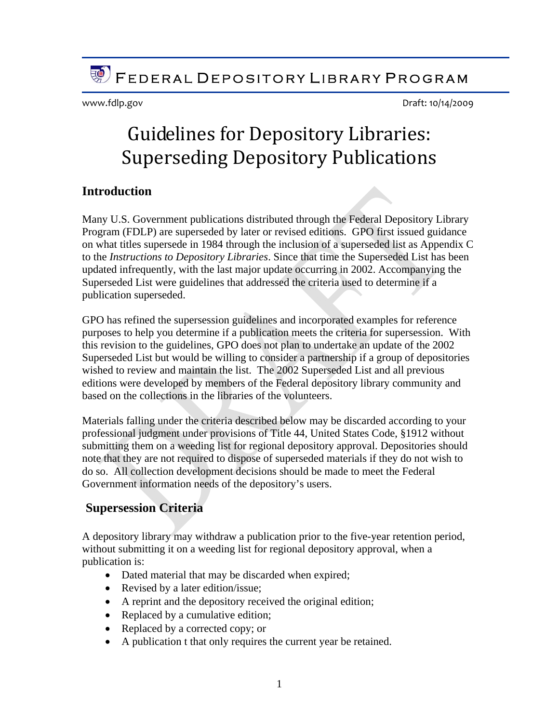**FEDERAL DEPOSITORY LIBRARY PROGRAM** 

www.fdlp.gov Draft: 10/14/2009

# Guidelines for Depository Libraries: Superseding Depository Publications

## **Introduction**

Many U.S. Government publications distributed through the Federal Depository Library Program (FDLP) are superseded by later or revised editions. GPO first issued guidance on what titles supersede in 1984 through the inclusion of a superseded list as Appendix C to the *Instructions to Depository Libraries*. Since that time the Superseded List has been updated infrequently, with the last major update occurring in 2002. Accompanying the Superseded List were guidelines that addressed the criteria used to determine if a publication superseded.

GPO has refined the supersession guidelines and incorporated examples for reference purposes to help you determine if a publication meets the criteria for supersession. With this revision to the guidelines, GPO does not plan to undertake an update of the 2002 Superseded List but would be willing to consider a partnership if a group of depositories wished to review and maintain the list. The 2002 Superseded List and all previous editions were developed by members of the Federal depository library community and based on the collections in the libraries of the volunteers.

Materials falling under the criteria described below may be discarded according to your professional judgment under provisions of Title 44, United States Code, §1912 without submitting them on a weeding list for regional depository approval. Depositories should note that they are not required to dispose of superseded materials if they do not wish to do so. All collection development decisions should be made to meet the Federal Government information needs of the depository's users.

# **Supersession Criteria**

A depository library may withdraw a publication prior to the five-year retention period, without submitting it on a weeding list for regional depository approval, when a publication is:

- Dated material that may be discarded when expired;
- Revised by a later edition/issue;
- A reprint and the depository received the original edition;
- Replaced by a cumulative edition;
- Replaced by a corrected copy; or
- A publication t that only requires the current year be retained.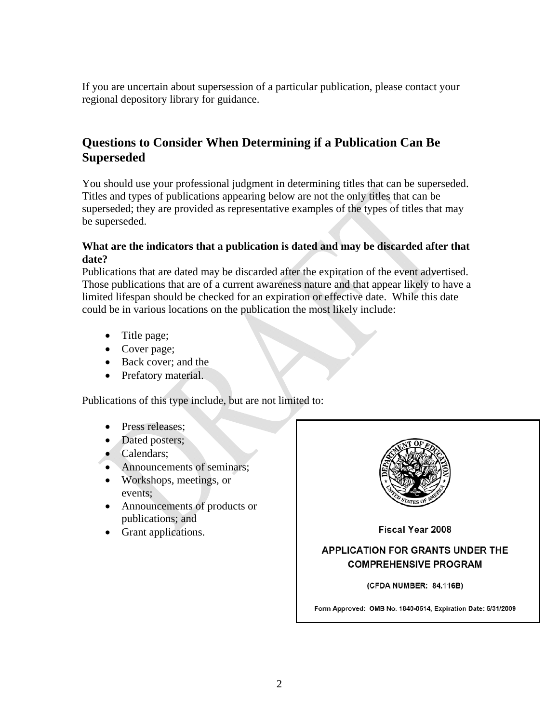If you are uncertain about supersession of a particular publication, please contact your regional depository library for guidance.

# **Questions to Consider When Determining if a Publication Can Be Superseded**

You should use your professional judgment in determining titles that can be superseded. Titles and types of publications appearing below are not the only titles that can be superseded; they are provided as representative examples of the types of titles that may be superseded.

#### **What are the indicators that a publication is dated and may be discarded after that date?**

Publications that are dated may be discarded after the expiration of the event advertised. Those publications that are of a current awareness nature and that appear likely to have a limited lifespan should be checked for an expiration or effective date. While this date could be in various locations on the publication the most likely include:

- Title page;
- Cover page;
- Back cover; and the
- Prefatory material.

Publications of this type include, but are not limited to:

- Press releases:
- Dated posters;
- Calendars;
- Announcements of seminars;
- Workshops, meetings, or events;
- Announcements of products or publications; and
- Grant applications.



Fiscal Year 2008

## **APPLICATION FOR GRANTS UNDER THE COMPREHENSIVE PROGRAM**

(CFDA NUMBER: 84.116B)

Form Approved: OMB No. 1840-0514, Expiration Date: 5/31/2009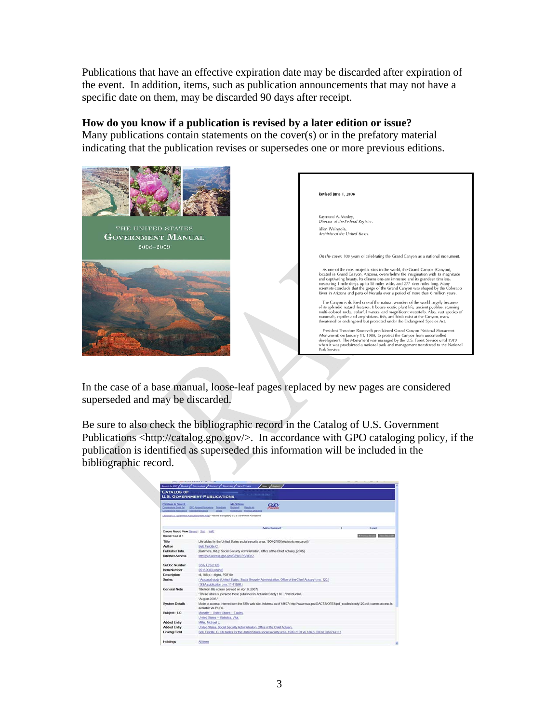Publications that have an effective expiration date may be discarded after expiration of the event. In addition, items, such as publication announcements that may not have a specific date on them, may be discarded 90 days after receipt.

#### **How do you know if a publication is revised by a later edition or issue?**

Many publications contain statements on the cover(s) or in the prefatory material indicating that the publication revises or supersedes one or more previous editions.



In the case of a base manual, loose-leaf pages replaced by new pages are considered superseded and may be discarded.

Be sure to also check the bibliographic record in the Catalog of U.S. Government Publications <http://catalog.gpo.gov/>. In accordance with GPO cataloging policy, if the publication is identified as superseded this information will be included in the bibliographic record.

| Catalogs to Search.<br><b>Compensations Series Set</b><br><b>Congression Publication Internet Publication</b> | <b>My Options</b><br>GPO Access Futbustors Participan<br><b>Barnuta let</b><br><b>Suckered</b><br>Preferences: Previous Searches<br>Switz       | G.O                                |  |  |  |
|---------------------------------------------------------------------------------------------------------------|-------------------------------------------------------------------------------------------------------------------------------------------------|------------------------------------|--|--|--|
|                                                                                                               | Catatos of U.S. Government Publications Home Page + Nelsmal Bibliography of U.S. Government Publications                                        |                                    |  |  |  |
|                                                                                                               |                                                                                                                                                 | <b>Add by Smakshalf</b><br>Entrant |  |  |  |
| Choose Record View: Illesiast   Stat   MHS<br>Record 1 out of 1                                               |                                                                                                                                                 |                                    |  |  |  |
|                                                                                                               |                                                                                                                                                 |                                    |  |  |  |
| <b>Title</b>                                                                                                  | Life tables for the United States social security area, 1900-2100 [electronic resource] /                                                       |                                    |  |  |  |
| Author                                                                                                        | Bell, Felicitie C.                                                                                                                              |                                    |  |  |  |
| Publisher Info.                                                                                               | [Baltimore, Md.]: Social Security Administration, Office of the Chief Actuary, [2005]                                                           |                                    |  |  |  |
| <b>Internet Access</b>                                                                                        | http://purl.access.gpp.gov/GPO/LPS80312                                                                                                         |                                    |  |  |  |
| SuDoc Number                                                                                                  | SSA 1.25/2:120                                                                                                                                  |                                    |  |  |  |
| <b>Item Number</b>                                                                                            | 0516-X-03 (online)                                                                                                                              |                                    |  |  |  |
| <b>Description</b>                                                                                            | vil, 186 p. : digital, PDF file                                                                                                                 |                                    |  |  |  |
| <b>Series</b>                                                                                                 | ( Actuarial study (United States, Social Security Administration, Office of the Chief Actuary) ; no. 120.)                                      |                                    |  |  |  |
|                                                                                                               | (SSA publication ; no. 11-11536.)                                                                                                               |                                    |  |  |  |
| General Note                                                                                                  | Title from title screen (viewed on Apr. 9, 2007).                                                                                               |                                    |  |  |  |
|                                                                                                               | "These tables supersede those published in Actuarial Study 116  "introduction.                                                                  |                                    |  |  |  |
|                                                                                                               | "August 2005."                                                                                                                                  |                                    |  |  |  |
| <b>System Details</b>                                                                                         | Mode of access: Internet from the SSA web site. Address as of 4/9/07: http://www.ssa.gov/OACT/NOTES/pdf_studies/study120.pdf. current access is |                                    |  |  |  |
|                                                                                                               | available via PURL.                                                                                                                             |                                    |  |  |  |
| Subject - LC                                                                                                  | Mortally - United States - Tables.                                                                                                              |                                    |  |  |  |
|                                                                                                               | <b>United States - Statistics, Vital</b>                                                                                                        |                                    |  |  |  |
| <b>Added Entry</b>                                                                                            | Miller, Michael L.                                                                                                                              |                                    |  |  |  |
| <b>Added Entry</b>                                                                                            | United States. Social Security Administration. Office of the Chief Actuary.                                                                     |                                    |  |  |  |
| <b>Linking Field</b>                                                                                          | Bell, Felicitie, C. Life tables for the United States social security area, 1900-2100 vil, 186 p. (OCoLC)61744112                               |                                    |  |  |  |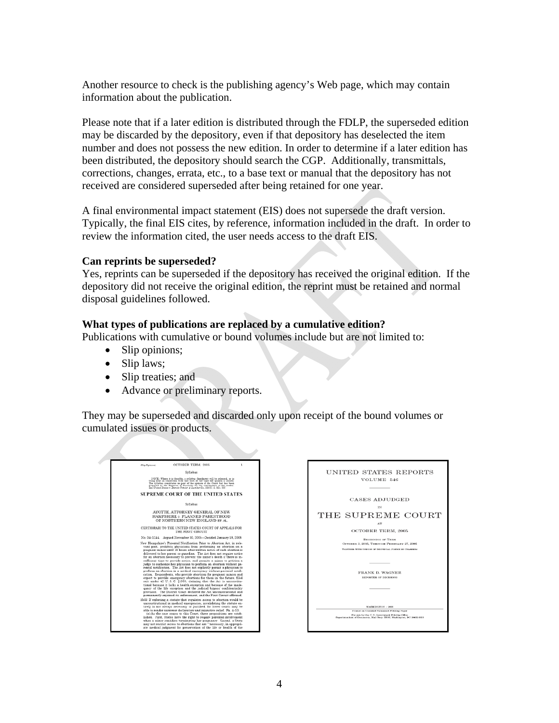Another resource to check is the publishing agency's Web page, which may contain information about the publication.

Please note that if a later edition is distributed through the FDLP, the superseded edition may be discarded by the depository, even if that depository has deselected the item number and does not possess the new edition. In order to determine if a later edition has been distributed, the depository should search the CGP. Additionally, transmittals, corrections, changes, errata, etc., to a base text or manual that the depository has not received are considered superseded after being retained for one year.

A final environmental impact statement (EIS) does not supersede the draft version. Typically, the final EIS cites, by reference, information included in the draft. In order to review the information cited, the user needs access to the draft EIS.

#### **Can reprints be superseded?**

Yes, reprints can be superseded if the depository has received the original edition. If the depository did not receive the original edition, the reprint must be retained and normal disposal guidelines followed.

#### **What types of publications are replaced by a cumulative edition?**

Publications with cumulative or bound volumes include but are not limited to:

- Slip opinions;
- Slip laws;
- Slip treaties; and
- Advance or preliminary reports.

They may be superseded and discarded only upon receipt of the bound volumes or cumulated issues or products.

| (Slip Opinion)                                                                                                                                                                                                                                                                                                                                                                         | OCTOBER TERM 2005                                                                                                                                                                                                                                                                                                                                                                                                                                                                                                                                                                                                                                                                                                                                                                                                                                                                                                                                                                                                                                                                                                                                                                      | 1 |  |
|----------------------------------------------------------------------------------------------------------------------------------------------------------------------------------------------------------------------------------------------------------------------------------------------------------------------------------------------------------------------------------------|----------------------------------------------------------------------------------------------------------------------------------------------------------------------------------------------------------------------------------------------------------------------------------------------------------------------------------------------------------------------------------------------------------------------------------------------------------------------------------------------------------------------------------------------------------------------------------------------------------------------------------------------------------------------------------------------------------------------------------------------------------------------------------------------------------------------------------------------------------------------------------------------------------------------------------------------------------------------------------------------------------------------------------------------------------------------------------------------------------------------------------------------------------------------------------------|---|--|
|                                                                                                                                                                                                                                                                                                                                                                                        | Svilabue                                                                                                                                                                                                                                                                                                                                                                                                                                                                                                                                                                                                                                                                                                                                                                                                                                                                                                                                                                                                                                                                                                                                                                               |   |  |
| NOTE: Where it is feasible, a syllabus (headnote) will be released, as is being done in connection with this case, at the time the opinion is issued.<br>The cylinbus construtes no part of the opinion of the Court but has been<br>prepared by the Reporter of Decisions for the convenience of the reader.<br>Gee United States v. Detroit Timber & Lumber Co., 200 U. G. 321, 337. |                                                                                                                                                                                                                                                                                                                                                                                                                                                                                                                                                                                                                                                                                                                                                                                                                                                                                                                                                                                                                                                                                                                                                                                        |   |  |
| <b>SUPREME COURT OF THE UNITED STATES</b>                                                                                                                                                                                                                                                                                                                                              |                                                                                                                                                                                                                                                                                                                                                                                                                                                                                                                                                                                                                                                                                                                                                                                                                                                                                                                                                                                                                                                                                                                                                                                        |   |  |
|                                                                                                                                                                                                                                                                                                                                                                                        | Syllabus                                                                                                                                                                                                                                                                                                                                                                                                                                                                                                                                                                                                                                                                                                                                                                                                                                                                                                                                                                                                                                                                                                                                                                               |   |  |
|                                                                                                                                                                                                                                                                                                                                                                                        | AVOTTE, ATTORNEY GENERAL OF NEW<br>HAMPSHIRE v. PLANNED PARENTHOOD<br>OF NORTHERN NEW ENGLAND ET AL.                                                                                                                                                                                                                                                                                                                                                                                                                                                                                                                                                                                                                                                                                                                                                                                                                                                                                                                                                                                                                                                                                   |   |  |
|                                                                                                                                                                                                                                                                                                                                                                                        | CERTIORARI TO THE UNITED STATES COURT OF APPEALS FOR<br>THE FIRST CIRCUIT                                                                                                                                                                                                                                                                                                                                                                                                                                                                                                                                                                                                                                                                                                                                                                                                                                                                                                                                                                                                                                                                                                              |   |  |
|                                                                                                                                                                                                                                                                                                                                                                                        | No. 04-1144. Argued November 30, 2005-Decided January 18, 2006                                                                                                                                                                                                                                                                                                                                                                                                                                                                                                                                                                                                                                                                                                                                                                                                                                                                                                                                                                                                                                                                                                                         |   |  |
|                                                                                                                                                                                                                                                                                                                                                                                        | New Hampshire's Parental Notification Prior to Abortion Act. in rele-<br>vant part, prohibits physicians from performing an abortion on a<br>pregnant minor until 48 hours after written notice of such abortion is<br>delivered to her parent or guardian. The Act does not require notice<br>for an abortion necessary to prevent the minor's death if there is in-<br>sufficient time to provide notice, and permits a minor to petition a<br>judge to authorize her physician to perform an abortion without pa-<br>rental notification. The Act does not explicitly permit a physician to<br>perform an abortion in a medical emergency without parental notifi-<br>cation. Respondents, who provide abortions for pregnant minors and<br>expect to provide emergency abortions for them in the future, filed<br>suit under 42 U.S.C. 51983, claiming that the Act is unconstitu-<br>tional because it lacks a health exception and because of the inade.<br>quacy of the life exception and the judicial bypass' confidentiality<br>provision. The District Court declared the Act unconstitutional and<br>permanently enjoined its enforcement, and the First Circuit affirmed. |   |  |
|                                                                                                                                                                                                                                                                                                                                                                                        | Held: If enforcing a statute that regulates access to abortion would be<br>unconstitutional in medical emergencies, invalidating the statute en-<br>tirely is not always necessary or justified, for lower courts may be<br>able to render narrower declaratory and injunctive relief. Pp. 4-10.<br>(a) As the case comes to this Court, three propositions are estab-<br>lished. First, States have the right to require parental involvement.<br>when a minor considers terminating her pregnancy. Second, a State<br>may not restrict access to abortions that are "'necessary, in appropri-<br>ate medical judgment for preservation of the life or health of the                                                                                                                                                                                                                                                                                                                                                                                                                                                                                                                  |   |  |

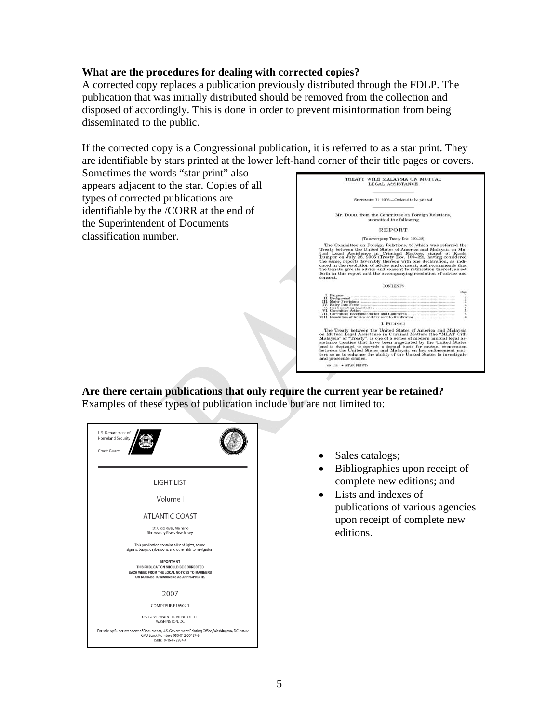#### **What are the procedures for dealing with corrected copies?**

A corrected copy replaces a publication previously distributed through the FDLP. The publication that was initially distributed should be removed from the collection and disposed of accordingly. This is done in order to prevent misinformation from being disseminated to the public.

If the corrected copy is a Congressional publication, it is referred to as a star print. They are identifiable by stars printed at the lower left-hand corner of their title pages or covers.

Sometimes the words "star print" also appears adjacent to the star. Copies of all types of corrected publications are identifiable by the /CORR at the end of the Superintendent of Documents classification number.



**Are there certain publications that only require the current year be retained?**  Examples of these types of publication include but are not limited to:



- Sales catalogs;
- Bibliographies upon receipt of complete new editions; and
- Lists and indexes of publications of various agencies upon receipt of complete new editions.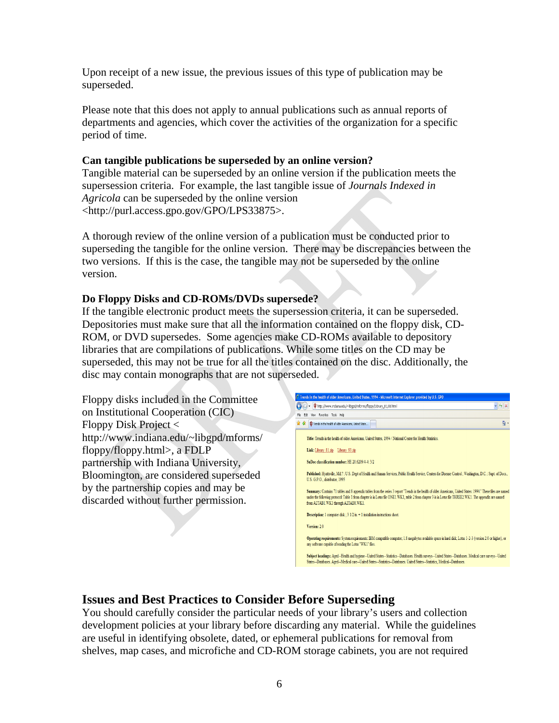Upon receipt of a new issue, the previous issues of this type of publication may be superseded.

Please note that this does not apply to annual publications such as annual reports of departments and agencies, which cover the activities of the organization for a specific period of time.

#### **Can tangible publications be superseded by an online version?**

Tangible material can be superseded by an online version if the publication meets the supersession criteria. For example, the last tangible issue of *Journals Indexed in Agricola* can be superseded by the online version <http://purl.access.gpo.gov/GPO/LPS33875>.

A thorough review of the online version of a publication must be conducted prior to superseding the tangible for the online version. There may be discrepancies between the two versions. If this is the case, the tangible may not be superseded by the online version.

## **Do Floppy Disks and CD-ROMs/DVDs supersede?**

If the tangible electronic product meets the supersession criteria, it can be superseded. Depositories must make sure that all the information contained on the floppy disk, CD-ROM, or DVD supersedes. Some agencies make CD-ROMs available to depository libraries that are compilations of publications. While some titles on the CD may be superseded, this may not be true for all the titles contained on the disc. Additionally, the disc may contain monographs that are not superseded.

Floppy disks included in the Committee on Institutional Cooperation (CIC) Floppy Disk Project < http://www.indiana.edu/~libgpd/mforms/ floppy/floppy.html>, a FDLP partnership with Indiana University, Bloomington, are considered superseded by the partnership copies and may be discarded without further permission.



# **Issues and Best Practices to Consider Before Superseding**

You should carefully consider the particular needs of your library's users and collection development policies at your library before discarding any material. While the guidelines are useful in identifying obsolete, dated, or ephemeral publications for removal from shelves, map cases, and microfiche and CD-ROM storage cabinets, you are not required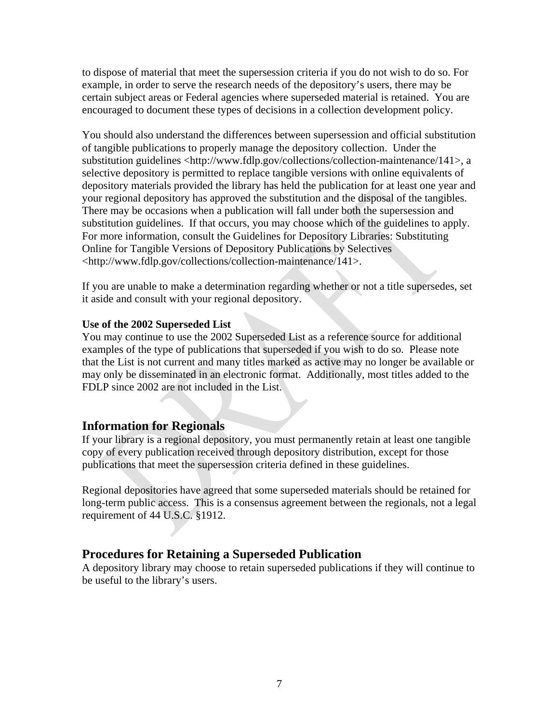to dispose of material that meet the supersession criteria if you do not wish to do so. For example, in order to serve the research needs of the depository's users, there may be certain subject areas or Federal agencies where superseded material is retained. You are encouraged to document these types of decisions in a collection development policy.

You should also understand the differences between supersession and official substitution of tangible publications to properly manage the depository collection. Under the substitution guidelines <http://www.fdlp.gov/collections/collection-maintenance/141>, a selective depository is permitted to replace tangible versions with online equivalents of depository materials provided the library has held the publication for at least one year and your regional depository has approved the substitution and the disposal of the tangibles. There may be occasions when a publication will fall under both the supersession and substitution guidelines. If that occurs, you may choose which of the guidelines to apply. For more information, consult the Guidelines for Depository Libraries: Substituting Online for Tangible Versions of Depository Publications by Selectives <http://www.fdlp.gov/collections/collection-maintenance/141>.

If you are unable to make a determination regarding whether or not a title supersedes, set it aside and consult with your regional depository.

#### **Use of the 2002 Superseded List**

You may continue to use the 2002 Superseded List as a reference source for additional examples of the type of publications that superseded if you wish to do so. Please note that the List is not current and many titles marked as active may no longer be available or may only be disseminated in an electronic format. Additionally, most titles added to the FDLP since 2002 are not included in the List.

## **Information for Regionals**

If your library is a regional depository, you must permanently retain at least one tangible copy of every publication received through depository distribution, except for those publications that meet the supersession criteria defined in these guidelines.

Regional depositories have agreed that some superseded materials should be retained for long-term public access. This is a consensus agreement between the regionals, not a legal requirement of 44 U.S.C. §1912.

## **Procedures for Retaining a Superseded Publication**

A depository library may choose to retain superseded publications if they will continue to be useful to the library's users.